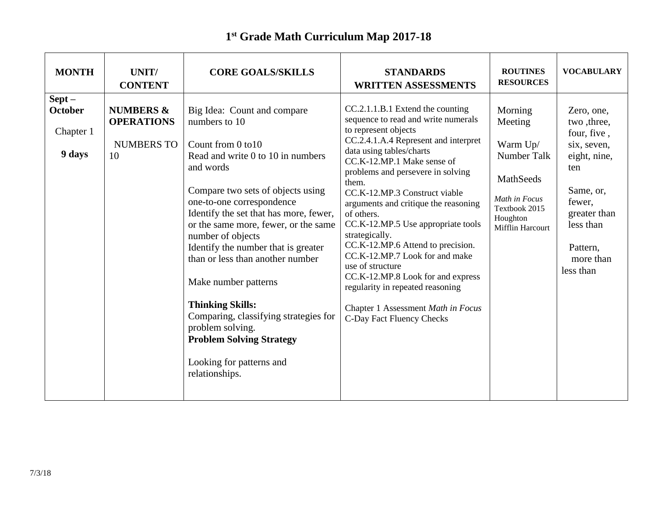## **1 st Grade Math Curriculum Map 2017-18**

| <b>MONTH</b>                                      | UNIT/<br><b>CONTENT</b>                                              | <b>CORE GOALS/SKILLS</b>                                                                                                                                                                                                                                                                                                                                                                                                                                                                                                                                                  | <b>STANDARDS</b><br><b>WRITTEN ASSESSMENTS</b>                                                                                                                                                                                                                                                                                                                                                                                                                                                                                                                                                                                               | <b>ROUTINES</b><br><b>RESOURCES</b>                                                                                                 | <b>VOCABULARY</b>                                                                                                                                                        |
|---------------------------------------------------|----------------------------------------------------------------------|---------------------------------------------------------------------------------------------------------------------------------------------------------------------------------------------------------------------------------------------------------------------------------------------------------------------------------------------------------------------------------------------------------------------------------------------------------------------------------------------------------------------------------------------------------------------------|----------------------------------------------------------------------------------------------------------------------------------------------------------------------------------------------------------------------------------------------------------------------------------------------------------------------------------------------------------------------------------------------------------------------------------------------------------------------------------------------------------------------------------------------------------------------------------------------------------------------------------------------|-------------------------------------------------------------------------------------------------------------------------------------|--------------------------------------------------------------------------------------------------------------------------------------------------------------------------|
| $Sept -$<br><b>October</b><br>Chapter 1<br>9 days | <b>NUMBERS &amp;</b><br><b>OPERATIONS</b><br><b>NUMBERS TO</b><br>10 | Big Idea: Count and compare<br>numbers to 10<br>Count from 0 to 10<br>Read and write 0 to 10 in numbers<br>and words<br>Compare two sets of objects using<br>one-to-one correspondence<br>Identify the set that has more, fewer,<br>or the same more, fewer, or the same<br>number of objects<br>Identify the number that is greater<br>than or less than another number<br>Make number patterns<br><b>Thinking Skills:</b><br>Comparing, classifying strategies for<br>problem solving.<br><b>Problem Solving Strategy</b><br>Looking for patterns and<br>relationships. | CC.2.1.1.B.1 Extend the counting<br>sequence to read and write numerals<br>to represent objects<br>CC.2.4.1.A.4 Represent and interpret<br>data using tables/charts<br>CC.K-12.MP.1 Make sense of<br>problems and persevere in solving<br>them.<br>CC.K-12.MP.3 Construct viable<br>arguments and critique the reasoning<br>of others.<br>CC.K-12.MP.5 Use appropriate tools<br>strategically.<br>CC.K-12.MP.6 Attend to precision.<br>CC.K-12.MP.7 Look for and make<br>use of structure<br>CC.K-12.MP.8 Look for and express<br>regularity in repeated reasoning<br>Chapter 1 Assessment Math in Focus<br><b>C-Day Fact Fluency Checks</b> | Morning<br>Meeting<br>Warm Up/<br><b>Number Talk</b><br>MathSeeds<br>Math in Focus<br>Textbook 2015<br>Houghton<br>Mifflin Harcourt | Zero, one,<br>two, three,<br>four, five,<br>six, seven,<br>eight, nine,<br>ten<br>Same, or,<br>fewer,<br>greater than<br>less than<br>Pattern,<br>more than<br>less than |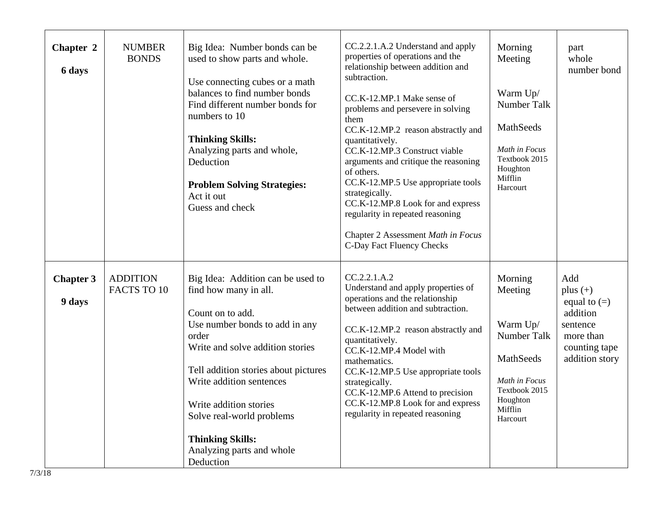| Chapter 2<br>6 days        | <b>NUMBER</b><br><b>BONDS</b>  | Big Idea: Number bonds can be<br>used to show parts and whole.<br>Use connecting cubes or a math<br>balances to find number bonds<br>Find different number bonds for<br>numbers to 10<br><b>Thinking Skills:</b><br>Analyzing parts and whole,<br>Deduction<br><b>Problem Solving Strategies:</b><br>Act it out<br>Guess and check                            | CC.2.2.1.A.2 Understand and apply<br>properties of operations and the<br>relationship between addition and<br>subtraction.<br>CC.K-12.MP.1 Make sense of<br>problems and persevere in solving<br>them<br>CC.K-12.MP.2 reason abstractly and<br>quantitatively.<br>CC.K-12.MP.3 Construct viable<br>arguments and critique the reasoning<br>of others.<br>CC.K-12.MP.5 Use appropriate tools<br>strategically.<br>CC.K-12.MP.8 Look for and express<br>regularity in repeated reasoning<br>Chapter 2 Assessment Math in Focus<br>C-Day Fact Fluency Checks | Morning<br>Meeting<br>Warm Up/<br>Number Talk<br>MathSeeds<br>Math in Focus<br>Textbook 2015<br>Houghton<br>Mifflin<br>Harcourt | part<br>whole<br>number bond                                                                                |
|----------------------------|--------------------------------|---------------------------------------------------------------------------------------------------------------------------------------------------------------------------------------------------------------------------------------------------------------------------------------------------------------------------------------------------------------|-----------------------------------------------------------------------------------------------------------------------------------------------------------------------------------------------------------------------------------------------------------------------------------------------------------------------------------------------------------------------------------------------------------------------------------------------------------------------------------------------------------------------------------------------------------|---------------------------------------------------------------------------------------------------------------------------------|-------------------------------------------------------------------------------------------------------------|
| <b>Chapter 3</b><br>9 days | <b>ADDITION</b><br>FACTS TO 10 | Big Idea: Addition can be used to<br>find how many in all.<br>Count on to add.<br>Use number bonds to add in any<br>order<br>Write and solve addition stories<br>Tell addition stories about pictures<br>Write addition sentences<br>Write addition stories<br>Solve real-world problems<br><b>Thinking Skills:</b><br>Analyzing parts and whole<br>Deduction | CC.2.2.1.A.2<br>Understand and apply properties of<br>operations and the relationship<br>between addition and subtraction.<br>CC.K-12.MP.2 reason abstractly and<br>quantitatively.<br>CC.K-12.MP.4 Model with<br>mathematics.<br>CC.K-12.MP.5 Use appropriate tools<br>strategically.<br>CC.K-12.MP.6 Attend to precision<br>CC.K-12.MP.8 Look for and express<br>regularity in repeated reasoning                                                                                                                                                       | Morning<br>Meeting<br>Warm Up/<br>Number Talk<br>MathSeeds<br>Math in Focus<br>Textbook 2015<br>Houghton<br>Mifflin<br>Harcourt | Add<br>plus $(+)$<br>equal to $(=)$<br>addition<br>sentence<br>more than<br>counting tape<br>addition story |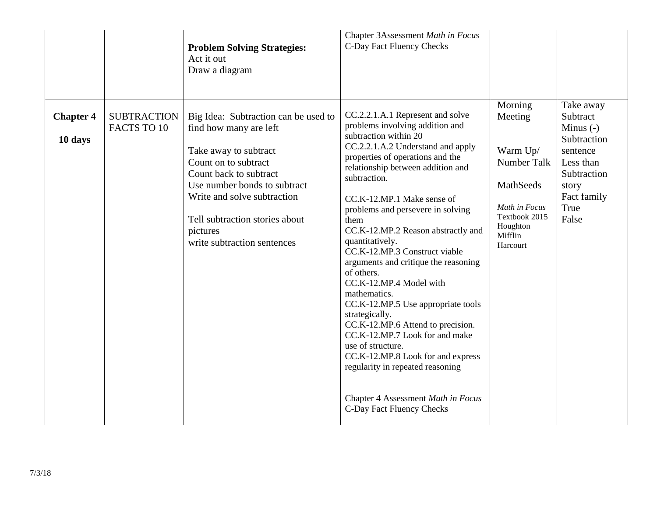|                             |                                   | <b>Problem Solving Strategies:</b><br>Act it out<br>Draw a diagram                                                                                                                                                                                                                    | Chapter 3Assessment Math in Focus<br>C-Day Fact Fluency Checks                                                                                                                                                                                                                                                                                                                                                                                                                                                                                                                                                                                                                                                                                                                                   | Morning                                                                                                              | Take away                                                                                                               |
|-----------------------------|-----------------------------------|---------------------------------------------------------------------------------------------------------------------------------------------------------------------------------------------------------------------------------------------------------------------------------------|--------------------------------------------------------------------------------------------------------------------------------------------------------------------------------------------------------------------------------------------------------------------------------------------------------------------------------------------------------------------------------------------------------------------------------------------------------------------------------------------------------------------------------------------------------------------------------------------------------------------------------------------------------------------------------------------------------------------------------------------------------------------------------------------------|----------------------------------------------------------------------------------------------------------------------|-------------------------------------------------------------------------------------------------------------------------|
| <b>Chapter 4</b><br>10 days | <b>SUBTRACTION</b><br>FACTS TO 10 | Big Idea: Subtraction can be used to<br>find how many are left<br>Take away to subtract<br>Count on to subtract<br>Count back to subtract<br>Use number bonds to subtract<br>Write and solve subtraction<br>Tell subtraction stories about<br>pictures<br>write subtraction sentences | CC.2.2.1.A.1 Represent and solve<br>problems involving addition and<br>subtraction within 20<br>CC.2.2.1.A.2 Understand and apply<br>properties of operations and the<br>relationship between addition and<br>subtraction.<br>CC.K-12.MP.1 Make sense of<br>problems and persevere in solving<br>them<br>CC.K-12.MP.2 Reason abstractly and<br>quantitatively.<br>CC.K-12.MP.3 Construct viable<br>arguments and critique the reasoning<br>of others.<br>CC.K-12.MP.4 Model with<br>mathematics.<br>CC.K-12.MP.5 Use appropriate tools<br>strategically.<br>CC.K-12.MP.6 Attend to precision.<br>CC.K-12.MP.7 Look for and make<br>use of structure.<br>CC.K-12.MP.8 Look for and express<br>regularity in repeated reasoning<br>Chapter 4 Assessment Math in Focus<br>C-Day Fact Fluency Checks | Meeting<br>Warm Up/<br>Number Talk<br>MathSeeds<br>Math in Focus<br>Textbook 2015<br>Houghton<br>Mifflin<br>Harcourt | Subtract<br>Minus $(-)$<br>Subtraction<br>sentence<br>Less than<br>Subtraction<br>story<br>Fact family<br>True<br>False |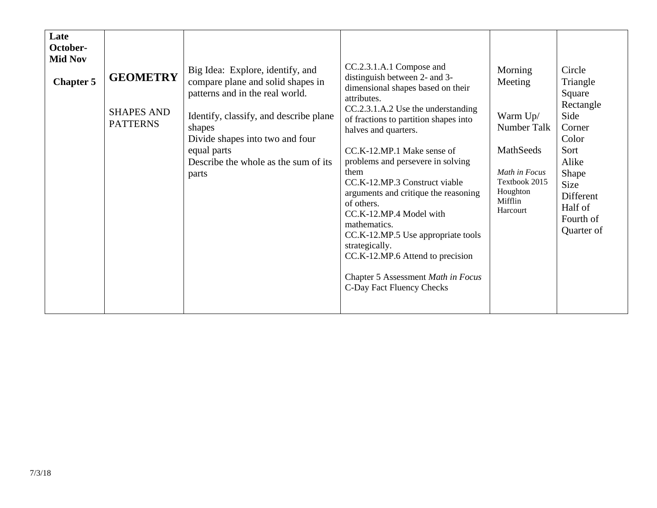| Late<br>October-<br><b>Mid Nov</b><br><b>Chapter 5</b> | <b>GEOMETRY</b><br><b>SHAPES AND</b><br><b>PATTERNS</b> | Big Idea: Explore, identify, and<br>compare plane and solid shapes in<br>patterns and in the real world.<br>Identify, classify, and describe plane<br>shapes<br>Divide shapes into two and four<br>equal parts<br>Describe the whole as the sum of its<br>parts | CC.2.3.1.A.1 Compose and<br>distinguish between 2- and 3-<br>dimensional shapes based on their<br>attributes.<br>CC.2.3.1.A.2 Use the understanding<br>of fractions to partition shapes into<br>halves and quarters.<br>CC.K-12.MP.1 Make sense of<br>problems and persevere in solving<br>them<br>CC.K-12.MP.3 Construct viable<br>arguments and critique the reasoning<br>of others.<br>CC.K-12.MP.4 Model with<br>mathematics.<br>CC.K-12.MP.5 Use appropriate tools<br>strategically.<br>CC.K-12.MP.6 Attend to precision<br>Chapter 5 Assessment Math in Focus<br>C-Day Fact Fluency Checks | Morning<br>Meeting<br>Warm Up/<br>Number Talk<br>MathSeeds<br>Math in Focus<br>Textbook 2015<br>Houghton<br>Mifflin<br>Harcourt | Circle<br>Triangle<br>Square<br>Rectangle<br>Side<br>Corner<br>Color<br>Sort<br>Alike<br>Shape<br>Size<br>Different<br>Half of<br>Fourth of<br>Quarter of |
|--------------------------------------------------------|---------------------------------------------------------|-----------------------------------------------------------------------------------------------------------------------------------------------------------------------------------------------------------------------------------------------------------------|--------------------------------------------------------------------------------------------------------------------------------------------------------------------------------------------------------------------------------------------------------------------------------------------------------------------------------------------------------------------------------------------------------------------------------------------------------------------------------------------------------------------------------------------------------------------------------------------------|---------------------------------------------------------------------------------------------------------------------------------|-----------------------------------------------------------------------------------------------------------------------------------------------------------|
|--------------------------------------------------------|---------------------------------------------------------|-----------------------------------------------------------------------------------------------------------------------------------------------------------------------------------------------------------------------------------------------------------------|--------------------------------------------------------------------------------------------------------------------------------------------------------------------------------------------------------------------------------------------------------------------------------------------------------------------------------------------------------------------------------------------------------------------------------------------------------------------------------------------------------------------------------------------------------------------------------------------------|---------------------------------------------------------------------------------------------------------------------------------|-----------------------------------------------------------------------------------------------------------------------------------------------------------|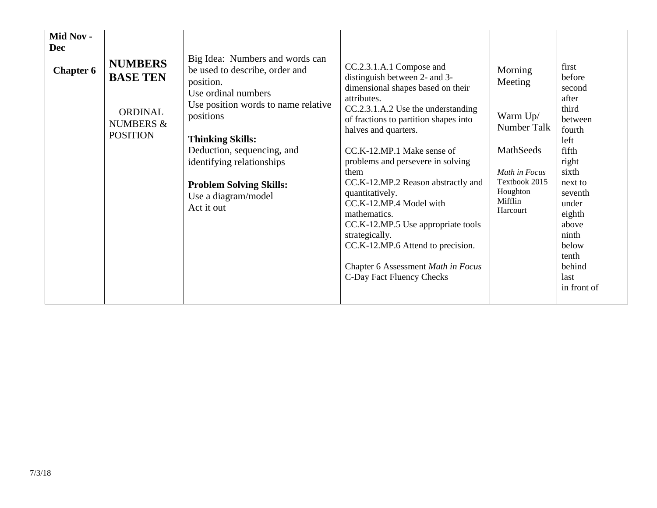| Mid Nov -<br><b>Dec</b><br><b>Chapter 6</b> | <b>NUMBERS</b><br><b>BASE TEN</b><br><b>ORDINAL</b><br><b>NUMBERS &amp;</b><br><b>POSITION</b> | Big Idea: Numbers and words can<br>be used to describe, order and<br>position.<br>Use ordinal numbers<br>Use position words to name relative<br>positions<br><b>Thinking Skills:</b><br>Deduction, sequencing, and<br>identifying relationships<br><b>Problem Solving Skills:</b><br>Use a diagram/model<br>Act it out | CC.2.3.1.A.1 Compose and<br>distinguish between 2- and 3-<br>dimensional shapes based on their<br>attributes.<br>CC.2.3.1.A.2 Use the understanding<br>of fractions to partition shapes into<br>halves and quarters.<br>CC.K-12.MP.1 Make sense of<br>problems and persevere in solving<br>them<br>CC.K-12.MP.2 Reason abstractly and<br>quantitatively.<br>CC.K-12.MP.4 Model with<br>mathematics.<br>CC.K-12.MP.5 Use appropriate tools<br>strategically.<br>CC.K-12.MP.6 Attend to precision.<br>Chapter 6 Assessment Math in Focus<br>C-Day Fact Fluency Checks | Morning<br>Meeting<br>Warm Up/<br>Number Talk<br>MathSeeds<br>Math in Focus<br>Textbook 2015<br>Houghton<br>Mifflin<br>Harcourt | first<br>before<br>second<br>after<br>third<br>between<br>fourth<br>left<br>fifth<br>right<br>sixth<br>next to<br>seventh<br>under<br>eighth<br>above<br>ninth<br>below<br>tenth<br>behind<br>last<br>in front of |
|---------------------------------------------|------------------------------------------------------------------------------------------------|------------------------------------------------------------------------------------------------------------------------------------------------------------------------------------------------------------------------------------------------------------------------------------------------------------------------|---------------------------------------------------------------------------------------------------------------------------------------------------------------------------------------------------------------------------------------------------------------------------------------------------------------------------------------------------------------------------------------------------------------------------------------------------------------------------------------------------------------------------------------------------------------------|---------------------------------------------------------------------------------------------------------------------------------|-------------------------------------------------------------------------------------------------------------------------------------------------------------------------------------------------------------------|
|---------------------------------------------|------------------------------------------------------------------------------------------------|------------------------------------------------------------------------------------------------------------------------------------------------------------------------------------------------------------------------------------------------------------------------------------------------------------------------|---------------------------------------------------------------------------------------------------------------------------------------------------------------------------------------------------------------------------------------------------------------------------------------------------------------------------------------------------------------------------------------------------------------------------------------------------------------------------------------------------------------------------------------------------------------------|---------------------------------------------------------------------------------------------------------------------------------|-------------------------------------------------------------------------------------------------------------------------------------------------------------------------------------------------------------------|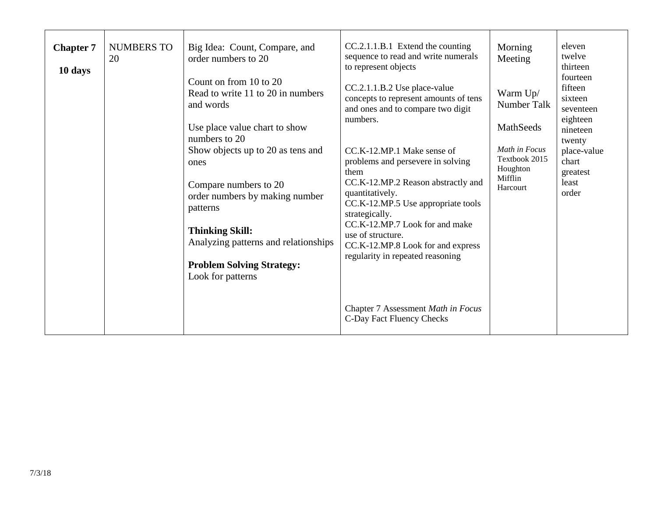| <b>Chapter 7</b><br>10 days | <b>NUMBERS TO</b><br>20 | Big Idea: Count, Compare, and<br>order numbers to 20<br>Count on from 10 to 20<br>Read to write 11 to 20 in numbers<br>and words<br>Use place value chart to show<br>numbers to 20<br>Show objects up to 20 as tens and<br>ones<br>Compare numbers to 20<br>order numbers by making number<br>patterns<br><b>Thinking Skill:</b><br>Analyzing patterns and relationships<br><b>Problem Solving Strategy:</b><br>Look for patterns | CC.2.1.1.B.1 Extend the counting<br>sequence to read and write numerals<br>to represent objects<br>CC.2.1.1.B.2 Use place-value<br>concepts to represent amounts of tens<br>and ones and to compare two digit<br>numbers.<br>CC.K-12.MP.1 Make sense of<br>problems and persevere in solving<br>them<br>CC.K-12.MP.2 Reason abstractly and<br>quantitatively.<br>CC.K-12.MP.5 Use appropriate tools<br>strategically.<br>CC.K-12.MP.7 Look for and make<br>use of structure.<br>CC.K-12.MP.8 Look for and express<br>regularity in repeated reasoning | Morning<br>Meeting<br>Warm Up/<br>Number Talk<br>MathSeeds<br>Math in Focus<br>Textbook 2015<br>Houghton<br>Mifflin<br>Harcourt | eleven<br>twelve<br>thirteen<br>fourteen<br>fifteen<br>sixteen<br>seventeen<br>eighteen<br>nineteen<br>twenty<br>place-value<br>chart<br>greatest<br>least<br>order |
|-----------------------------|-------------------------|-----------------------------------------------------------------------------------------------------------------------------------------------------------------------------------------------------------------------------------------------------------------------------------------------------------------------------------------------------------------------------------------------------------------------------------|-------------------------------------------------------------------------------------------------------------------------------------------------------------------------------------------------------------------------------------------------------------------------------------------------------------------------------------------------------------------------------------------------------------------------------------------------------------------------------------------------------------------------------------------------------|---------------------------------------------------------------------------------------------------------------------------------|---------------------------------------------------------------------------------------------------------------------------------------------------------------------|
|                             |                         |                                                                                                                                                                                                                                                                                                                                                                                                                                   | Chapter 7 Assessment Math in Focus<br>C-Day Fact Fluency Checks                                                                                                                                                                                                                                                                                                                                                                                                                                                                                       |                                                                                                                                 |                                                                                                                                                                     |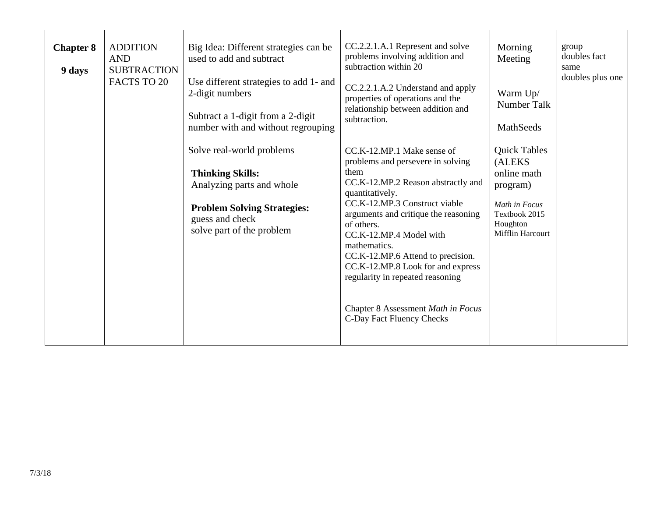| <b>Chapter 8</b><br>9 days | <b>ADDITION</b><br><b>AND</b><br><b>SUBTRACTION</b><br>FACTS TO 20 | Big Idea: Different strategies can be<br>used to add and subtract<br>Use different strategies to add 1- and<br>2-digit numbers<br>Subtract a 1-digit from a 2-digit<br>number with and without regrouping | CC.2.2.1.A.1 Represent and solve<br>problems involving addition and<br>subtraction within 20<br>CC.2.2.1.A.2 Understand and apply<br>properties of operations and the<br>relationship between addition and<br>subtraction.                                                                                                                                                                                                                          | Morning<br>Meeting<br>Warm Up/<br>Number Talk<br>MathSeeds                                                                         | group<br>doubles fact<br>same<br>doubles plus one |
|----------------------------|--------------------------------------------------------------------|-----------------------------------------------------------------------------------------------------------------------------------------------------------------------------------------------------------|-----------------------------------------------------------------------------------------------------------------------------------------------------------------------------------------------------------------------------------------------------------------------------------------------------------------------------------------------------------------------------------------------------------------------------------------------------|------------------------------------------------------------------------------------------------------------------------------------|---------------------------------------------------|
|                            |                                                                    | Solve real-world problems<br><b>Thinking Skills:</b><br>Analyzing parts and whole<br><b>Problem Solving Strategies:</b><br>guess and check<br>solve part of the problem                                   | CC.K-12.MP.1 Make sense of<br>problems and persevere in solving<br>them<br>CC.K-12.MP.2 Reason abstractly and<br>quantitatively.<br>CC.K-12.MP.3 Construct viable<br>arguments and critique the reasoning<br>of others.<br>CC.K-12.MP.4 Model with<br>mathematics.<br>CC.K-12.MP.6 Attend to precision.<br>CC.K-12.MP.8 Look for and express<br>regularity in repeated reasoning<br>Chapter 8 Assessment Math in Focus<br>C-Day Fact Fluency Checks | <b>Quick Tables</b><br>(ALEKS)<br>online math<br>program)<br>Math in Focus<br>Textbook 2015<br>Houghton<br><b>Mifflin Harcourt</b> |                                                   |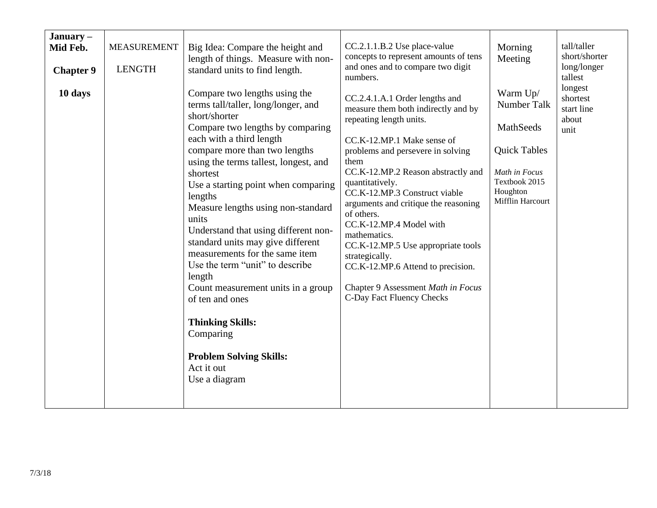| January $-$<br>Mid Feb.<br><b>Chapter 9</b><br>10 days | <b>MEASUREMENT</b><br><b>LENGTH</b> | Big Idea: Compare the height and<br>length of things. Measure with non-<br>standard units to find length.<br>Compare two lengths using the<br>terms tall/taller, long/longer, and<br>short/shorter<br>Compare two lengths by comparing<br>each with a third length<br>compare more than two lengths<br>using the terms tallest, longest, and<br>shortest<br>Use a starting point when comparing<br>lengths<br>Measure lengths using non-standard<br>units<br>Understand that using different non-<br>standard units may give different<br>measurements for the same item | CC.2.1.1.B.2 Use place-value<br>concepts to represent amounts of tens<br>and ones and to compare two digit<br>numbers.<br>CC.2.4.1.A.1 Order lengths and<br>measure them both indirectly and by<br>repeating length units.<br>CC.K-12.MP.1 Make sense of<br>problems and persevere in solving<br>them<br>CC.K-12.MP.2 Reason abstractly and<br>quantitatively.<br>CC.K-12.MP.3 Construct viable<br>arguments and critique the reasoning<br>of others.<br>CC.K-12.MP.4 Model with<br>mathematics.<br>CC.K-12.MP.5 Use appropriate tools | Morning<br>Meeting<br>Warm Up/<br>Number Talk<br>MathSeeds<br><b>Quick Tables</b><br>Math in Focus<br>Textbook 2015<br>Houghton<br>Mifflin Harcourt | tall/taller<br>short/shorter<br>long/longer<br>tallest<br>longest<br>shortest<br>start line<br>about<br>unit |
|--------------------------------------------------------|-------------------------------------|--------------------------------------------------------------------------------------------------------------------------------------------------------------------------------------------------------------------------------------------------------------------------------------------------------------------------------------------------------------------------------------------------------------------------------------------------------------------------------------------------------------------------------------------------------------------------|----------------------------------------------------------------------------------------------------------------------------------------------------------------------------------------------------------------------------------------------------------------------------------------------------------------------------------------------------------------------------------------------------------------------------------------------------------------------------------------------------------------------------------------|-----------------------------------------------------------------------------------------------------------------------------------------------------|--------------------------------------------------------------------------------------------------------------|
|                                                        |                                     | Use the term "unit" to describe<br>length<br>Count measurement units in a group<br>of ten and ones<br><b>Thinking Skills:</b><br>Comparing<br><b>Problem Solving Skills:</b><br>Act it out<br>Use a diagram                                                                                                                                                                                                                                                                                                                                                              | strategically.<br>CC.K-12.MP.6 Attend to precision.<br>Chapter 9 Assessment Math in Focus<br>C-Day Fact Fluency Checks                                                                                                                                                                                                                                                                                                                                                                                                                 |                                                                                                                                                     |                                                                                                              |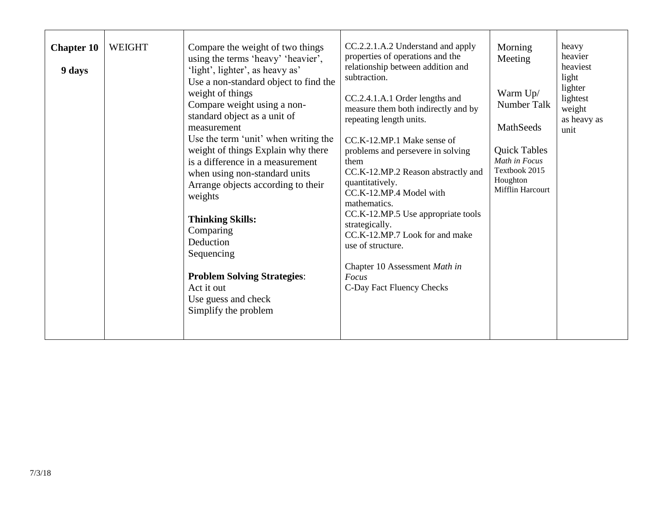| <b>Chapter 10</b><br>9 days | <b>WEIGHT</b> | Compare the weight of two things<br>using the terms 'heavy' 'heavier',<br>'light', lighter', as heavy as'<br>Use a non-standard object to find the<br>weight of things<br>Compare weight using a non-<br>standard object as a unit of<br>measurement<br>Use the term 'unit' when writing the<br>weight of things Explain why there<br>is a difference in a measurement<br>when using non-standard units<br>Arrange objects according to their<br>weights<br><b>Thinking Skills:</b><br>Comparing<br>Deduction<br>Sequencing<br><b>Problem Solving Strategies:</b><br>Act it out<br>Use guess and check<br>Simplify the problem | CC.2.2.1.A.2 Understand and apply<br>properties of operations and the<br>relationship between addition and<br>subtraction.<br>CC.2.4.1.A.1 Order lengths and<br>measure them both indirectly and by<br>repeating length units.<br>CC.K-12.MP.1 Make sense of<br>problems and persevere in solving<br>them<br>CC.K-12.MP.2 Reason abstractly and<br>quantitatively.<br>CC.K-12.MP.4 Model with<br>mathematics.<br>CC.K-12.MP.5 Use appropriate tools<br>strategically.<br>CC.K-12.MP.7 Look for and make<br>use of structure.<br>Chapter 10 Assessment Math in<br>Focus<br>C-Day Fact Fluency Checks | Morning<br>Meeting<br>Warm Up/<br>Number Talk<br>MathSeeds<br><b>Quick Tables</b><br>Math in Focus<br>Textbook 2015<br>Houghton<br>Mifflin Harcourt | heavy<br>heavier<br>heaviest<br>light<br>lighter<br>lightest<br>weight<br>as heavy as<br>unit |
|-----------------------------|---------------|--------------------------------------------------------------------------------------------------------------------------------------------------------------------------------------------------------------------------------------------------------------------------------------------------------------------------------------------------------------------------------------------------------------------------------------------------------------------------------------------------------------------------------------------------------------------------------------------------------------------------------|-----------------------------------------------------------------------------------------------------------------------------------------------------------------------------------------------------------------------------------------------------------------------------------------------------------------------------------------------------------------------------------------------------------------------------------------------------------------------------------------------------------------------------------------------------------------------------------------------------|-----------------------------------------------------------------------------------------------------------------------------------------------------|-----------------------------------------------------------------------------------------------|
|-----------------------------|---------------|--------------------------------------------------------------------------------------------------------------------------------------------------------------------------------------------------------------------------------------------------------------------------------------------------------------------------------------------------------------------------------------------------------------------------------------------------------------------------------------------------------------------------------------------------------------------------------------------------------------------------------|-----------------------------------------------------------------------------------------------------------------------------------------------------------------------------------------------------------------------------------------------------------------------------------------------------------------------------------------------------------------------------------------------------------------------------------------------------------------------------------------------------------------------------------------------------------------------------------------------------|-----------------------------------------------------------------------------------------------------------------------------------------------------|-----------------------------------------------------------------------------------------------|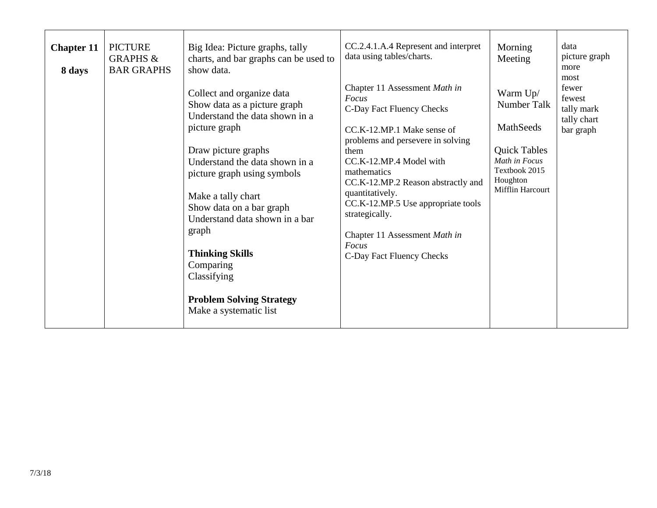| <b>Chapter 11</b><br>8 days | <b>PICTURE</b><br><b>GRAPHS &amp;</b><br><b>BAR GRAPHS</b> | Big Idea: Picture graphs, tally<br>charts, and bar graphs can be used to<br>show data.<br>Collect and organize data<br>Show data as a picture graph<br>Understand the data shown in a<br>picture graph<br>Draw picture graphs<br>Understand the data shown in a<br>picture graph using symbols<br>Make a tally chart<br>Show data on a bar graph<br>Understand data shown in a bar<br>graph<br><b>Thinking Skills</b><br>Comparing<br>Classifying<br><b>Problem Solving Strategy</b><br>Make a systematic list | CC.2.4.1.A.4 Represent and interpret<br>data using tables/charts.<br>Chapter 11 Assessment Math in<br>Focus<br>C-Day Fact Fluency Checks<br>CC.K-12.MP.1 Make sense of<br>problems and persevere in solving<br>them<br>CC.K-12.MP.4 Model with<br>mathematics<br>CC.K-12.MP.2 Reason abstractly and<br>quantitatively.<br>CC.K-12.MP.5 Use appropriate tools<br>strategically.<br>Chapter 11 Assessment Math in<br>Focus<br>C-Day Fact Fluency Checks | Morning<br>Meeting<br>Warm Up/<br>Number Talk<br>MathSeeds<br><b>Quick Tables</b><br>Math in Focus<br>Textbook 2015<br>Houghton<br>Mifflin Harcourt | data<br>picture graph<br>more<br>most<br>fewer<br>fewest<br>tally mark<br>tally chart<br>bar graph |
|-----------------------------|------------------------------------------------------------|----------------------------------------------------------------------------------------------------------------------------------------------------------------------------------------------------------------------------------------------------------------------------------------------------------------------------------------------------------------------------------------------------------------------------------------------------------------------------------------------------------------|-------------------------------------------------------------------------------------------------------------------------------------------------------------------------------------------------------------------------------------------------------------------------------------------------------------------------------------------------------------------------------------------------------------------------------------------------------|-----------------------------------------------------------------------------------------------------------------------------------------------------|----------------------------------------------------------------------------------------------------|
|-----------------------------|------------------------------------------------------------|----------------------------------------------------------------------------------------------------------------------------------------------------------------------------------------------------------------------------------------------------------------------------------------------------------------------------------------------------------------------------------------------------------------------------------------------------------------------------------------------------------------|-------------------------------------------------------------------------------------------------------------------------------------------------------------------------------------------------------------------------------------------------------------------------------------------------------------------------------------------------------------------------------------------------------------------------------------------------------|-----------------------------------------------------------------------------------------------------------------------------------------------------|----------------------------------------------------------------------------------------------------|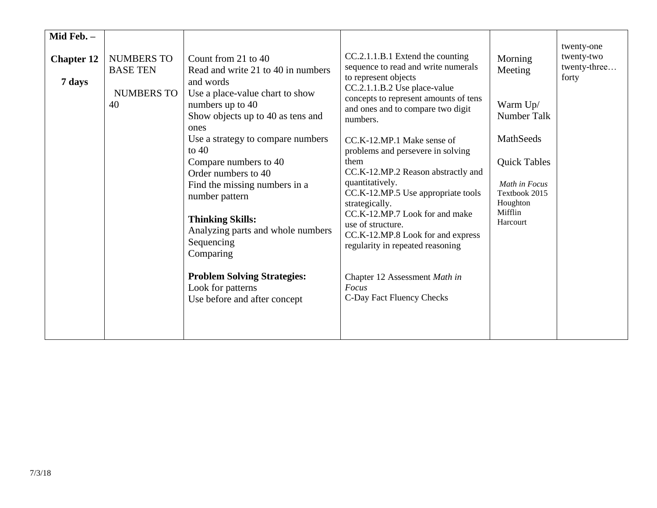| Mid Feb. -<br><b>Chapter 12</b><br>7 days | <b>NUMBERS TO</b><br><b>BASE TEN</b><br><b>NUMBERS TO</b><br>40 | Count from 21 to 40<br>Read and write 21 to 40 in numbers<br>and words<br>Use a place-value chart to show<br>numbers up to 40<br>Show objects up to 40 as tens and<br>ones<br>Use a strategy to compare numbers<br>to $40$<br>Compare numbers to 40<br>Order numbers to 40<br>Find the missing numbers in a<br>number pattern<br><b>Thinking Skills:</b><br>Analyzing parts and whole numbers<br>Sequencing<br>Comparing<br><b>Problem Solving Strategies:</b> | CC.2.1.1.B.1 Extend the counting<br>sequence to read and write numerals<br>to represent objects<br>CC.2.1.1.B.2 Use place-value<br>concepts to represent amounts of tens<br>and ones and to compare two digit<br>numbers.<br>CC.K-12.MP.1 Make sense of<br>problems and persevere in solving<br>them<br>CC.K-12.MP.2 Reason abstractly and<br>quantitatively.<br>CC.K-12.MP.5 Use appropriate tools<br>strategically.<br>CC.K-12.MP.7 Look for and make<br>use of structure.<br>CC.K-12.MP.8 Look for and express<br>regularity in repeated reasoning<br>Chapter 12 Assessment Math in | Morning<br>Meeting<br>Warm Up/<br>Number Talk<br>MathSeeds<br><b>Quick Tables</b><br>Math in Focus<br>Textbook 2015<br>Houghton<br>Mifflin<br>Harcourt | twenty-one<br>twenty-two<br>twenty-three<br>forty |
|-------------------------------------------|-----------------------------------------------------------------|----------------------------------------------------------------------------------------------------------------------------------------------------------------------------------------------------------------------------------------------------------------------------------------------------------------------------------------------------------------------------------------------------------------------------------------------------------------|----------------------------------------------------------------------------------------------------------------------------------------------------------------------------------------------------------------------------------------------------------------------------------------------------------------------------------------------------------------------------------------------------------------------------------------------------------------------------------------------------------------------------------------------------------------------------------------|--------------------------------------------------------------------------------------------------------------------------------------------------------|---------------------------------------------------|
|                                           |                                                                 | Look for patterns<br>Use before and after concept                                                                                                                                                                                                                                                                                                                                                                                                              | Focus<br>C-Day Fact Fluency Checks                                                                                                                                                                                                                                                                                                                                                                                                                                                                                                                                                     |                                                                                                                                                        |                                                   |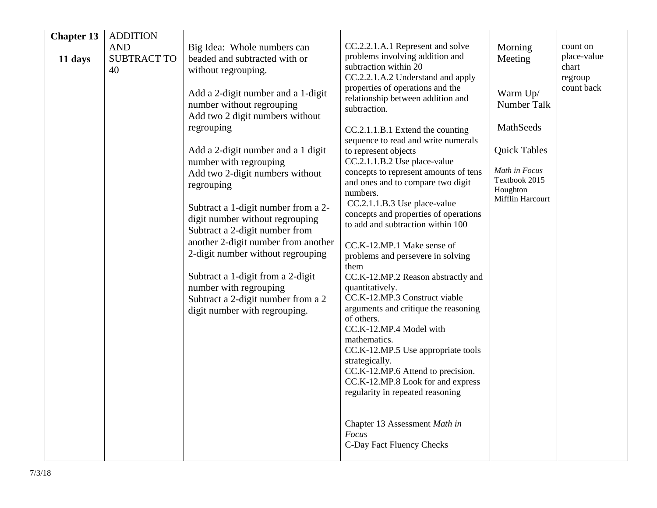| <b>Chapter 13</b> | <b>ADDITION</b>    |                                     |                                                                       |                           |                       |
|-------------------|--------------------|-------------------------------------|-----------------------------------------------------------------------|---------------------------|-----------------------|
|                   | <b>AND</b>         | Big Idea: Whole numbers can         | CC.2.2.1.A.1 Represent and solve                                      | Morning                   | count on              |
| 11 days           | <b>SUBTRACT TO</b> | beaded and subtracted with or       | problems involving addition and                                       | Meeting                   | place-value           |
|                   | 40                 | without regrouping.                 | subtraction within 20                                                 |                           | chart                 |
|                   |                    |                                     | CC.2.2.1.A.2 Understand and apply<br>properties of operations and the |                           | regroup<br>count back |
|                   |                    | Add a 2-digit number and a 1-digit  | relationship between addition and                                     | Warm Up/                  |                       |
|                   |                    | number without regrouping           | subtraction.                                                          | Number Talk               |                       |
|                   |                    | Add two 2 digit numbers without     |                                                                       | MathSeeds                 |                       |
|                   |                    | regrouping                          | CC.2.1.1.B.1 Extend the counting                                      |                           |                       |
|                   |                    | Add a 2-digit number and a 1 digit  | sequence to read and write numerals<br>to represent objects           | <b>Quick Tables</b>       |                       |
|                   |                    | number with regrouping              | CC.2.1.1.B.2 Use place-value                                          |                           |                       |
|                   |                    | Add two 2-digit numbers without     | concepts to represent amounts of tens                                 | Math in Focus             |                       |
|                   |                    | regrouping                          | and ones and to compare two digit                                     | Textbook 2015<br>Houghton |                       |
|                   |                    |                                     | numbers.                                                              | Mifflin Harcourt          |                       |
|                   |                    | Subtract a 1-digit number from a 2- | CC.2.1.1.B.3 Use place-value<br>concepts and properties of operations |                           |                       |
|                   |                    | digit number without regrouping     | to add and subtraction within 100                                     |                           |                       |
|                   |                    | Subtract a 2-digit number from      |                                                                       |                           |                       |
|                   |                    | another 2-digit number from another | CC.K-12.MP.1 Make sense of                                            |                           |                       |
|                   |                    | 2-digit number without regrouping   | problems and persevere in solving                                     |                           |                       |
|                   |                    | Subtract a 1-digit from a 2-digit   | them<br>CC.K-12.MP.2 Reason abstractly and                            |                           |                       |
|                   |                    | number with regrouping              | quantitatively.                                                       |                           |                       |
|                   |                    | Subtract a 2-digit number from a 2  | CC.K-12.MP.3 Construct viable                                         |                           |                       |
|                   |                    | digit number with regrouping.       | arguments and critique the reasoning                                  |                           |                       |
|                   |                    |                                     | of others.                                                            |                           |                       |
|                   |                    |                                     | CC.K-12.MP.4 Model with                                               |                           |                       |
|                   |                    |                                     | mathematics.<br>CC.K-12.MP.5 Use appropriate tools                    |                           |                       |
|                   |                    |                                     | strategically.                                                        |                           |                       |
|                   |                    |                                     | CC.K-12.MP.6 Attend to precision.                                     |                           |                       |
|                   |                    |                                     | CC.K-12.MP.8 Look for and express                                     |                           |                       |
|                   |                    |                                     | regularity in repeated reasoning                                      |                           |                       |
|                   |                    |                                     |                                                                       |                           |                       |
|                   |                    |                                     | Chapter 13 Assessment Math in                                         |                           |                       |
|                   |                    |                                     | Focus                                                                 |                           |                       |
|                   |                    |                                     | C-Day Fact Fluency Checks                                             |                           |                       |
|                   |                    |                                     |                                                                       |                           |                       |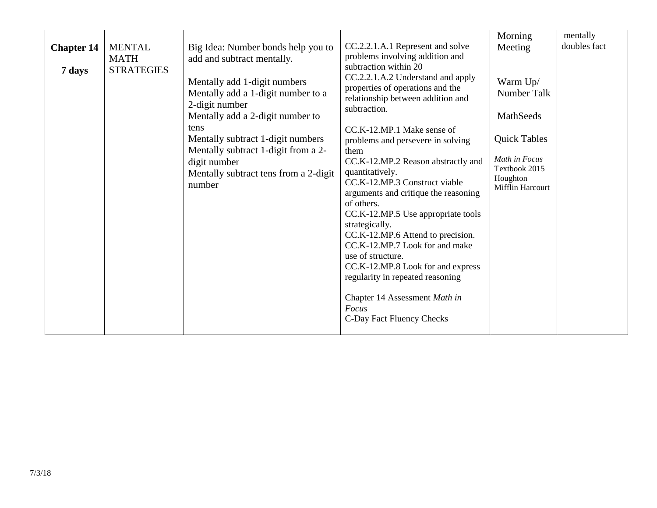|                   |                              |                                                                                                                                                                                                                                                                                        |                                                                                                                                                                                                                                                                                                                                                                                                                                                                                                                                                                                                             | Morning                                                                                                                              | mentally     |
|-------------------|------------------------------|----------------------------------------------------------------------------------------------------------------------------------------------------------------------------------------------------------------------------------------------------------------------------------------|-------------------------------------------------------------------------------------------------------------------------------------------------------------------------------------------------------------------------------------------------------------------------------------------------------------------------------------------------------------------------------------------------------------------------------------------------------------------------------------------------------------------------------------------------------------------------------------------------------------|--------------------------------------------------------------------------------------------------------------------------------------|--------------|
| <b>Chapter 14</b> | <b>MENTAL</b><br><b>MATH</b> | Big Idea: Number bonds help you to<br>add and subtract mentally.                                                                                                                                                                                                                       | CC.2.2.1.A.1 Represent and solve<br>problems involving addition and                                                                                                                                                                                                                                                                                                                                                                                                                                                                                                                                         | Meeting                                                                                                                              | doubles fact |
| 7 days            | <b>STRATEGIES</b>            | Mentally add 1-digit numbers<br>Mentally add a 1-digit number to a<br>2-digit number<br>Mentally add a 2-digit number to<br><b>tens</b><br>Mentally subtract 1-digit numbers<br>Mentally subtract 1-digit from a 2-<br>digit number<br>Mentally subtract tens from a 2-digit<br>number | subtraction within 20<br>CC.2.2.1.A.2 Understand and apply<br>properties of operations and the<br>relationship between addition and<br>subtraction.<br>CC.K-12.MP.1 Make sense of<br>problems and persevere in solving<br>them<br>CC.K-12.MP.2 Reason abstractly and<br>quantitatively.<br>CC.K-12.MP.3 Construct viable<br>arguments and critique the reasoning<br>of others.<br>CC.K-12.MP.5 Use appropriate tools<br>strategically.<br>CC.K-12.MP.6 Attend to precision.<br>CC.K-12.MP.7 Look for and make<br>use of structure.<br>CC.K-12.MP.8 Look for and express<br>regularity in repeated reasoning | Warm Up/<br>Number Talk<br>MathSeeds<br><b>Quick Tables</b><br>Math in Focus<br>Textbook 2015<br>Houghton<br><b>Mifflin Harcourt</b> |              |
|                   |                              |                                                                                                                                                                                                                                                                                        | Chapter 14 Assessment Math in<br>Focus<br>C-Day Fact Fluency Checks                                                                                                                                                                                                                                                                                                                                                                                                                                                                                                                                         |                                                                                                                                      |              |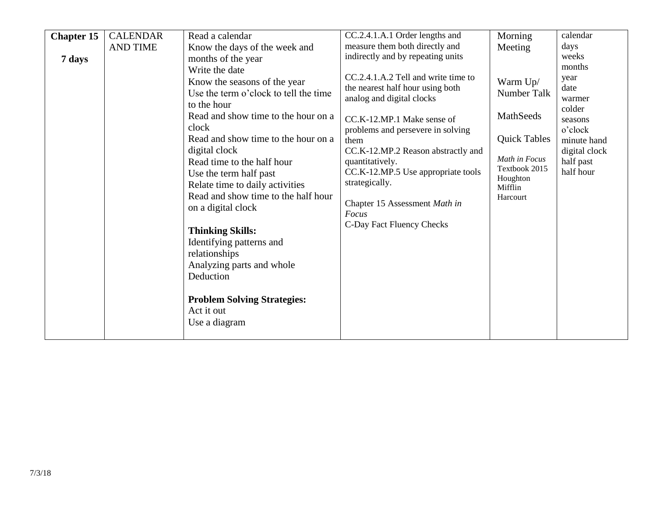| <b>Chapter 15</b> | <b>CALENDAR</b> | Read a calendar                       | CC.2.4.1.A.1 Order lengths and      | Morning             | calendar      |
|-------------------|-----------------|---------------------------------------|-------------------------------------|---------------------|---------------|
|                   | <b>AND TIME</b> | Know the days of the week and         | measure them both directly and      | Meeting             | days          |
| 7 days            |                 | months of the year                    | indirectly and by repeating units   |                     | weeks         |
|                   |                 | Write the date                        |                                     |                     | months        |
|                   |                 | Know the seasons of the year          | CC.2.4.1.A.2 Tell and write time to | Warm Up/            | year          |
|                   |                 | Use the term o'clock to tell the time | the nearest half hour using both    | Number Talk         | date          |
|                   |                 | to the hour                           | analog and digital clocks           |                     | warmer        |
|                   |                 | Read and show time to the hour on a   |                                     | MathSeeds           | colder        |
|                   |                 |                                       | CC.K-12.MP.1 Make sense of          |                     | seasons       |
|                   |                 | clock                                 | problems and persevere in solving   |                     | o'clock       |
|                   |                 | Read and show time to the hour on a   | them                                | <b>Quick Tables</b> | minute hand   |
|                   |                 | digital clock                         | CC.K-12.MP.2 Reason abstractly and  | Math in Focus       | digital clock |
|                   |                 | Read time to the half hour            | quantitatively.                     | Textbook 2015       | half past     |
|                   |                 | Use the term half past                | CC.K-12.MP.5 Use appropriate tools  | Houghton            | half hour     |
|                   |                 | Relate time to daily activities       | strategically.                      | Mifflin             |               |
|                   |                 | Read and show time to the half hour   |                                     | Harcourt            |               |
|                   |                 | on a digital clock                    | Chapter 15 Assessment Math in       |                     |               |
|                   |                 |                                       | Focus                               |                     |               |
|                   |                 | <b>Thinking Skills:</b>               | C-Day Fact Fluency Checks           |                     |               |
|                   |                 | Identifying patterns and              |                                     |                     |               |
|                   |                 | relationships                         |                                     |                     |               |
|                   |                 |                                       |                                     |                     |               |
|                   |                 | Analyzing parts and whole             |                                     |                     |               |
|                   |                 | Deduction                             |                                     |                     |               |
|                   |                 |                                       |                                     |                     |               |
|                   |                 | <b>Problem Solving Strategies:</b>    |                                     |                     |               |
|                   |                 | Act it out                            |                                     |                     |               |
|                   |                 | Use a diagram                         |                                     |                     |               |
|                   |                 |                                       |                                     |                     |               |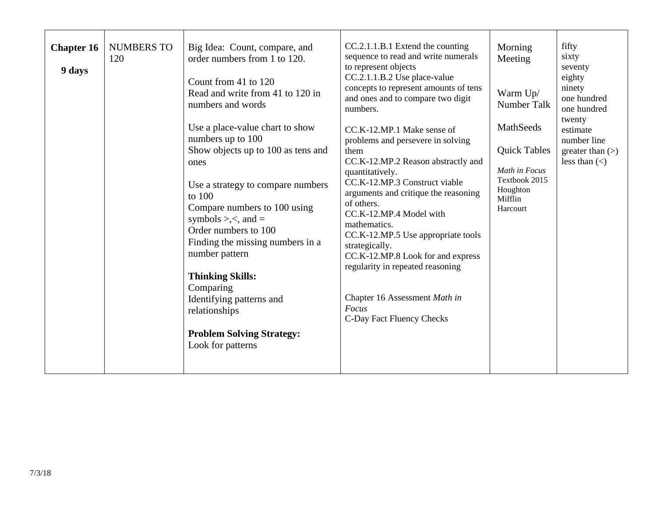| <b>Chapter 16</b><br>9 days | <b>NUMBERS TO</b><br>120 | Big Idea: Count, compare, and<br>order numbers from 1 to 120.<br>Count from 41 to 120<br>Read and write from 41 to 120 in<br>numbers and words<br>Use a place-value chart to show<br>numbers up to 100<br>Show objects up to 100 as tens and<br>ones<br>Use a strategy to compare numbers<br>to 100<br>Compare numbers to 100 using<br>symbols >, $\lt$ , and =<br>Order numbers to 100<br>Finding the missing numbers in a<br>number pattern<br><b>Thinking Skills:</b><br>Comparing<br>Identifying patterns and<br>relationships<br><b>Problem Solving Strategy:</b><br>Look for patterns | CC.2.1.1.B.1 Extend the counting<br>sequence to read and write numerals<br>to represent objects<br>CC.2.1.1.B.2 Use place-value<br>concepts to represent amounts of tens<br>and ones and to compare two digit<br>numbers.<br>CC.K-12.MP.1 Make sense of<br>problems and persevere in solving<br>them<br>CC.K-12.MP.2 Reason abstractly and<br>quantitatively.<br>CC.K-12.MP.3 Construct viable<br>arguments and critique the reasoning<br>of others.<br>CC.K-12.MP.4 Model with<br>mathematics.<br>CC.K-12.MP.5 Use appropriate tools<br>strategically.<br>CC.K-12.MP.8 Look for and express<br>regularity in repeated reasoning<br>Chapter 16 Assessment Math in<br>Focus<br>C-Day Fact Fluency Checks | Morning<br>Meeting<br>Warm Up/<br>Number Talk<br>MathSeeds<br><b>Quick Tables</b><br>Math in Focus<br>Textbook 2015<br>Houghton<br>Mifflin<br>Harcourt | fifty<br>sixty<br>seventy<br>eighty<br>ninety<br>one hundred<br>one hundred<br>twenty<br>estimate<br>number line<br>greater than $(>)$<br>less than $(\le)$ |
|-----------------------------|--------------------------|---------------------------------------------------------------------------------------------------------------------------------------------------------------------------------------------------------------------------------------------------------------------------------------------------------------------------------------------------------------------------------------------------------------------------------------------------------------------------------------------------------------------------------------------------------------------------------------------|---------------------------------------------------------------------------------------------------------------------------------------------------------------------------------------------------------------------------------------------------------------------------------------------------------------------------------------------------------------------------------------------------------------------------------------------------------------------------------------------------------------------------------------------------------------------------------------------------------------------------------------------------------------------------------------------------------|--------------------------------------------------------------------------------------------------------------------------------------------------------|-------------------------------------------------------------------------------------------------------------------------------------------------------------|
|-----------------------------|--------------------------|---------------------------------------------------------------------------------------------------------------------------------------------------------------------------------------------------------------------------------------------------------------------------------------------------------------------------------------------------------------------------------------------------------------------------------------------------------------------------------------------------------------------------------------------------------------------------------------------|---------------------------------------------------------------------------------------------------------------------------------------------------------------------------------------------------------------------------------------------------------------------------------------------------------------------------------------------------------------------------------------------------------------------------------------------------------------------------------------------------------------------------------------------------------------------------------------------------------------------------------------------------------------------------------------------------------|--------------------------------------------------------------------------------------------------------------------------------------------------------|-------------------------------------------------------------------------------------------------------------------------------------------------------------|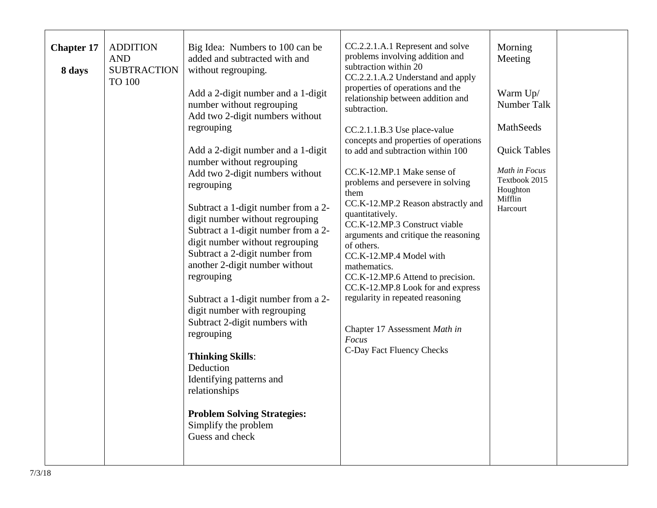| <b>Chapter 17</b> | <b>ADDITION</b><br><b>AND</b>       | Big Idea: Numbers to 100 can be<br>added and subtracted with and                                                                                                                                                                                                                                                                                                                                                             | CC.2.2.1.A.1 Represent and solve<br>problems involving addition and                                                                                                                                                                                                                                                                                                          | Morning<br>Meeting                         |  |
|-------------------|-------------------------------------|------------------------------------------------------------------------------------------------------------------------------------------------------------------------------------------------------------------------------------------------------------------------------------------------------------------------------------------------------------------------------------------------------------------------------|------------------------------------------------------------------------------------------------------------------------------------------------------------------------------------------------------------------------------------------------------------------------------------------------------------------------------------------------------------------------------|--------------------------------------------|--|
| 8 days            | <b>SUBTRACTION</b><br><b>TO 100</b> | without regrouping.                                                                                                                                                                                                                                                                                                                                                                                                          | subtraction within 20<br>CC.2.2.1.A.2 Understand and apply                                                                                                                                                                                                                                                                                                                   |                                            |  |
|                   |                                     | Add a 2-digit number and a 1-digit<br>number without regrouping<br>Add two 2-digit numbers without                                                                                                                                                                                                                                                                                                                           | properties of operations and the<br>relationship between addition and<br>subtraction.                                                                                                                                                                                                                                                                                        | Warm Up/<br>Number Talk                    |  |
|                   |                                     | regrouping                                                                                                                                                                                                                                                                                                                                                                                                                   | CC.2.1.1.B.3 Use place-value<br>concepts and properties of operations                                                                                                                                                                                                                                                                                                        | MathSeeds                                  |  |
|                   |                                     | Add a 2-digit number and a 1-digit<br>number without regrouping                                                                                                                                                                                                                                                                                                                                                              | to add and subtraction within 100                                                                                                                                                                                                                                                                                                                                            | <b>Quick Tables</b>                        |  |
|                   |                                     | Add two 2-digit numbers without<br>regrouping                                                                                                                                                                                                                                                                                                                                                                                | CC.K-12.MP.1 Make sense of<br>problems and persevere in solving<br>them                                                                                                                                                                                                                                                                                                      | Math in Focus<br>Textbook 2015<br>Houghton |  |
|                   |                                     | Subtract a 1-digit number from a 2-<br>digit number without regrouping<br>Subtract a 1-digit number from a 2-<br>digit number without regrouping<br>Subtract a 2-digit number from<br>another 2-digit number without<br>regrouping<br>Subtract a 1-digit number from a 2-<br>digit number with regrouping<br>Subtract 2-digit numbers with<br>regrouping<br><b>Thinking Skills:</b><br>Deduction<br>Identifying patterns and | CC.K-12.MP.2 Reason abstractly and<br>quantitatively.<br>CC.K-12.MP.3 Construct viable<br>arguments and critique the reasoning<br>of others.<br>CC.K-12.MP.4 Model with<br>mathematics.<br>CC.K-12.MP.6 Attend to precision.<br>CC.K-12.MP.8 Look for and express<br>regularity in repeated reasoning<br>Chapter 17 Assessment Math in<br>Focus<br>C-Day Fact Fluency Checks | Mifflin<br>Harcourt                        |  |
|                   |                                     | relationships<br><b>Problem Solving Strategies:</b><br>Simplify the problem<br>Guess and check                                                                                                                                                                                                                                                                                                                               |                                                                                                                                                                                                                                                                                                                                                                              |                                            |  |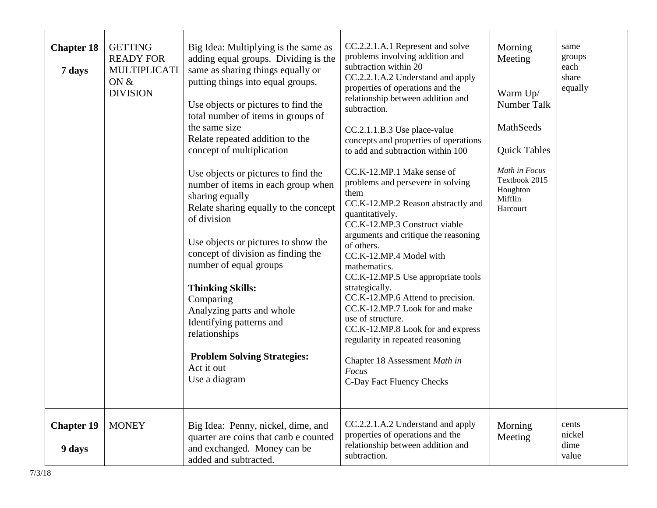| <b>Chapter 18</b><br>7 days | <b>GETTING</b><br><b>READY FOR</b><br>MULTIPLICATI<br>ON $&$<br><b>DIVISION</b> | Big Idea: Multiplying is the same as<br>adding equal groups. Dividing is the<br>same as sharing things equally or<br>putting things into equal groups.<br>Use objects or pictures to find the<br>total number of items in groups of<br>the same size<br>Relate repeated addition to the<br>concept of multiplication<br>Use objects or pictures to find the<br>number of items in each group when<br>sharing equally<br>Relate sharing equally to the concept<br>of division<br>Use objects or pictures to show the<br>concept of division as finding the<br>number of equal groups<br><b>Thinking Skills:</b><br>Comparing<br>Analyzing parts and whole<br>Identifying patterns and<br>relationships<br><b>Problem Solving Strategies:</b><br>Act it out<br>Use a diagram | CC.2.2.1.A.1 Represent and solve<br>problems involving addition and<br>subtraction within 20<br>CC.2.2.1.A.2 Understand and apply<br>properties of operations and the<br>relationship between addition and<br>subtraction.<br>CC.2.1.1.B.3 Use place-value<br>concepts and properties of operations<br>to add and subtraction within 100<br>CC.K-12.MP.1 Make sense of<br>problems and persevere in solving<br>them<br>CC.K-12.MP.2 Reason abstractly and<br>quantitatively.<br>CC.K-12.MP.3 Construct viable<br>arguments and critique the reasoning<br>of others.<br>CC.K-12.MP.4 Model with<br>mathematics.<br>CC.K-12.MP.5 Use appropriate tools<br>strategically.<br>CC.K-12.MP.6 Attend to precision.<br>CC.K-12.MP.7 Look for and make<br>use of structure.<br>CC.K-12.MP.8 Look for and express<br>regularity in repeated reasoning<br>Chapter 18 Assessment Math in<br>Focus<br>C-Day Fact Fluency Checks | Morning<br>Meeting<br>Warm Up/<br>Number Talk<br>MathSeeds<br><b>Quick Tables</b><br>Math in Focus<br>Textbook 2015<br>Houghton<br>Mifflin<br>Harcourt | same<br>groups<br>each<br>share<br>equally |
|-----------------------------|---------------------------------------------------------------------------------|----------------------------------------------------------------------------------------------------------------------------------------------------------------------------------------------------------------------------------------------------------------------------------------------------------------------------------------------------------------------------------------------------------------------------------------------------------------------------------------------------------------------------------------------------------------------------------------------------------------------------------------------------------------------------------------------------------------------------------------------------------------------------|--------------------------------------------------------------------------------------------------------------------------------------------------------------------------------------------------------------------------------------------------------------------------------------------------------------------------------------------------------------------------------------------------------------------------------------------------------------------------------------------------------------------------------------------------------------------------------------------------------------------------------------------------------------------------------------------------------------------------------------------------------------------------------------------------------------------------------------------------------------------------------------------------------------------|--------------------------------------------------------------------------------------------------------------------------------------------------------|--------------------------------------------|
| <b>Chapter 19</b><br>9 days | <b>MONEY</b>                                                                    | Big Idea: Penny, nickel, dime, and<br>quarter are coins that canb e counted<br>and exchanged. Money can be<br>added and subtracted.                                                                                                                                                                                                                                                                                                                                                                                                                                                                                                                                                                                                                                        | CC.2.2.1.A.2 Understand and apply<br>properties of operations and the<br>relationship between addition and<br>subtraction.                                                                                                                                                                                                                                                                                                                                                                                                                                                                                                                                                                                                                                                                                                                                                                                         | Morning<br>Meeting                                                                                                                                     | cents<br>nickel<br>dime<br>value           |